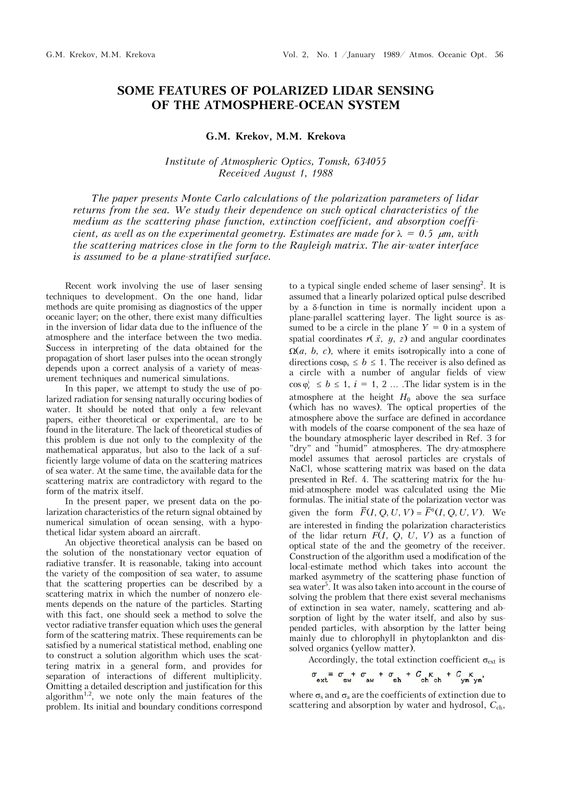## **SOME FEATURES OF POLARIZED LIDAR SENSING OF THE ATMOSPHERE-OCEAN SYSTEM**

## **G.M. Krekov, M.M. Krekova**

## *Institute of Atmospheric Optics, Tomsk, 634055 Received August 1, 1988*

*The paper presents Monte Carlo calculations of the polarization parameters of lidar returns from the sea. We study their dependence on such optical characteristics of the medium as the scattering phase function, extinction coefficient, and absorption coefficient, as well as on the experimental geometry. Estimates are made for*  $\lambda = 0.5$   $\mu$ m, with *the scattering matrices close in the form to the Rayleigh matrix. The air-water interface is assumed to be a plane-stratified surface.*

Recent work involving the use of laser sensing techniques to development. On the one hand, lidar methods are quite promising as diagnostics of the upper oceanic layer; on the other, there exist many difficulties in the inversion of lidar data due to the influence of the atmosphere and the interface between the two media. Success in interpreting of the data obtained for the propagation of short laser pulses into the ocean strongly depends upon a correct analysis of a variety of measurement techniques and numerical simulations.

In this paper, we attempt to study the use of polarized radiation for sensing naturally occuring bodies of water. It should be noted that only a few relevant papers, either theoretical or experimental, are to be found in the literature. The lack of theoretical studies of this problem is due not only to the complexity of the mathematical apparatus, but also to the lack of a sufficiently large volume of data on the scattering matrices of sea water. At the same time, the available data for the scattering matrix are contradictory with regard to the form of the matrix itself.

In the present paper, we present data on the polarization characteristics of the return signal obtained by numerical simulation of ocean sensing, with a hypothetical lidar system aboard an aircraft.

An objective theoretical analysis can be based on the solution of the nonstationary vector equation of radiative transfer. It is reasonable, taking into account the variety of the composition of sea water, to assume that the scattering properties can be described by a scattering matrix in which the number of nonzero elements depends on the nature of the particles. Starting with this fact, one should seek a method to solve the vector radiative transfer equation which uses the general form of the scattering matrix. These requirements can be satisfied by a numerical statistical method, enabling one to construct a solution algorithm which uses the scattering matrix in a general form, and provides for separation of interactions of different multiplicity. Omitting a detailed description and justification for this algorithm<sup>1,2</sup>, we note only the main features of the problem. Its initial and boundary conditions correspond

to a typical single ended scheme of laser sensing<sup>2</sup>. It is assumed that a linearly polarized optical pulse described by a  $\delta$ -function in time is normally incident upon a plane-parallel scattering layer. The light source is assumed to be a circle in the plane  $Y = 0$  in a system of spatial coordinates  $r(\vec{x}, y, z)$  and angular coordinates  $\Omega(a, b, c)$ , where it emits isotropically into a cone of directions  $cos\varphi_s \leq b \leq 1$ . The receiver is also defined as a circle with a number of angular fields of view  $\cos \varphi_n^i \leq b \leq 1$ ,  $i = 1, 2, \ldots$ . The lidar system is in the atmosphere at the height  $H_0$  above the sea surface (which has no waves). The optical properties of the atmosphere above the surface are defined in accordance with models of the coarse component of the sea haze of the boundary atmospheric layer described in Ref. 3 for "dry" and "humid" atmospheres. The dry-atmosphere model assumes that aerosol particles are crystals of NaCl, whose scattering matrix was based on the data presented in Ref. 4. The scattering matrix for the humid-atmosphere model was calculated using the Mie formulas. The initial state of the polarization vector was given the form  $\overline{F}(I, Q, U, V) = \overline{F}^0(I, Q, U, V)$ . We are interested in finding the polarization characteristics of the lidar return  $\overline{F(I, Q, U, V)}$  as a function of optical state of the and the geometry of the receiver. Construction of the algorithm used a modification of the local-estimate method which takes into account the marked asymmetry of the scattering phase function of sea water<sup>5</sup>. It was also taken into account in the course of solving the problem that there exist several mechanisms of extinction in sea water, namely, scattering and absorption of light by the water itself, and also by suspended particles, with absorption by the latter being mainly due to chlorophyll in phytoplankton and dissolved organics (yellow matter).

Accordingly, the total extinction coefficient  $\sigma_{ext}$  is

$$
\sigma_{\rm ext} = \sigma_{\rm sw} + \sigma_{\rm sw} + \sigma_{\rm sh} + C_{\rm ch \ ch} + C_{\rm km \ cm} ,
$$

where  $\sigma_s$  and  $\sigma_a$  are the coefficients of extinction due to scattering and absorption by water and hydrosol,  $C_{ch}$ ,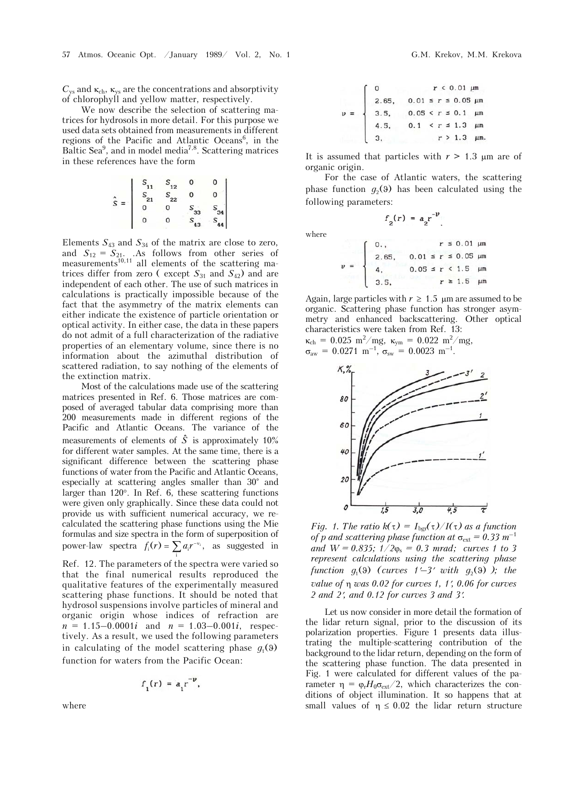$C_{\text{vs}}$  and  $\kappa_{\text{ch}}$ ,  $\kappa_{\text{vs}}$  are the concentrations and absorptivity of chlorophyll and yellow matter, respectively.

We now describe the selection of scattering matrices for hydrosols in more detail. For this purpose we used data sets obtained from measurements in different regions of the Pacific and Atlantic Oceans<sup>6</sup>, in the Baltic Sea<sup>9</sup>, and in model media<sup>7,8</sup>. Scattering matrices in these references have the form

$$
\hat{S} = \begin{bmatrix} S_{11} & S_{12} & 0 & 0 \\ S_{21} & S_{22} & 0 & 0 \\ 0 & 0 & S_{33} & S_{34} \\ 0 & 0 & S_{43} & S_{44} \end{bmatrix}
$$

Elements  $S_{43}$  and  $S_{34}$  of the matrix are close to zero, and  $S_{12} = S_{21}$ . As follows from other series of measurements<sup>10,11</sup> all elements of the scattering matrices differ from zero (except  $S_{31}$  and  $S_{42}$ ) and are independent of each other. The use of such matrices in calculations is practically impossible because of the fact that the asymmetry of the matrix elements can either indicate the existence of particle orientation or optical activity. In either case, the data in these papers do not admit of a full characterization of the radiative properties of an elementary volume, since there is no information about the azimuthal distribution of scattered radiation, to say nothing of the elements of the extinction matrix.

Most of the calculations made use of the scattering matrices presented in Ref. 6. Those matrices are composed of averaged tabular data comprising more than 200 measurements made in different regions of the Pacific and Atlantic Oceans. The variance of the measurements of elements of  $\hat{S}$  is approximately 10% for different water samples. At the same time, there is a significant difference between the scattering phase functions of water from the Pacific and Atlantic Oceans, especially at scattering angles smaller than 30° and larger than  $120^\circ$ . In Ref. 6, these scattering functions were given only graphically. Since these data could not provide us with sufficient numerical accuracy, we recalculated the scattering phase functions using the Mie formulas and size spectra in the form of superposition of power-law spectra  $f_i(r) = \sum a_i r^{-v_i}$ , as suggested in i

Ref. 12. The parameters of the spectra were varied so that the final numerical results reproduced the qualitative features of the experimentally measured scattering phase functions. It should be noted that hydrosol suspensions involve particles of mineral and organic origin whose indices of refraction are  $n = 1.15 - 0.0001i$  and  $n = 1.03 - 0.001i$ , respectively. As a result, we used the following parameters in calculating of the model scattering phase  $q_i(9)$ function for waters from the Pacific Ocean:

$$
f_1(r) = a_1 r^{-\nu},
$$

where

$$
v = \begin{cases} 0 & r < 0.01 \text{ }\mu\text{m} \\ 2.65, & 0.01 \le r \le 0.05 \text{ }\mu\text{m} \\ 3.5, & 0.05 < r \le 0.1 \text{ }\mu\text{m} \\ 4.5, & 0.1 < r \le 1.3 \text{ }\mu\text{m} \\ 3, & r > 1.3 \text{ }\mu\text{m} .\end{cases}
$$

It is assumed that particles with  $r > 1.3$  µm are of organic origin.

For the case of Atlantic waters, the scattering phase function  $q_2(9)$  has been calculated using the following parameters:

 $f_2(r) = a_2 r^{-v}$ 

where

 $\mathbf{r}$ 

 $\overline{\nu}$ 

$$
= \begin{cases}\n0., & r \le 0.01 \text{ }\mu\text{m} \\
2.65, & 0.01 \le r \le 0.05 \text{ }\mu\text{m} \\
4, & 0.05 \le r < 1.5 \text{ }\mu\text{m} \\
3.5, & r \ge 1.5 \text{ }\mu\text{m}\n\end{cases}
$$

Again, large particles with  $r \geq 1.5$  um are assumed to be organic. Scattering phase function has stronger asymmetry and enhanced backscattering. Other optical characteristics were taken from Ref. 13:

 $\kappa_{ch} = 0.025 \text{ m}^2/\text{mg}, \ \kappa_{ym} = 0.022 \text{ m}^2/\text{mg},$  $\sigma_{\text{aw}} = 0.0271 \text{ m}^{-1}, \sigma_{\text{sw}} = 0.0023 \text{ m}^{-1}.$ 



*Fig. 1. The ratio*  $k(\tau) = I_{\text{bgr}}(\tau) / I(\tau)$  *as a function of p and scattering phase function at*  $\sigma_{ext} = 0.33$   $m^{-1}$ *and*  $W = 0.835$ ;  $1/2\varphi_s = 0.3$  *mrad; curves* 1 to 3 *represent calculations using the scattering phase function*  $g_1(9)$  *(curves*  $1^{\prime}-3^{\prime}$  *with*  $g_2(9)$ *); the value of was 0.02 for curves 1, 1, 0.06 for curves 2 and 2, and 0.12 for curves 3 and 3.*

Let us now consider in more detail the formation of the lidar return signal, prior to the discussion of its polarization properties. Figure 1 presents data illustrating the multiple-scattering contribution of the background to the lidar return, depending on the form of the scattering phase function. The data presented in Fig. 1 were calculated for different values of the parameter  $\eta = \varphi_r H_0 \sigma_{ext}/2$ , which characterizes the conditions of object illumination. It so happens that at small values of  $n \leq 0.02$  the lidar return structure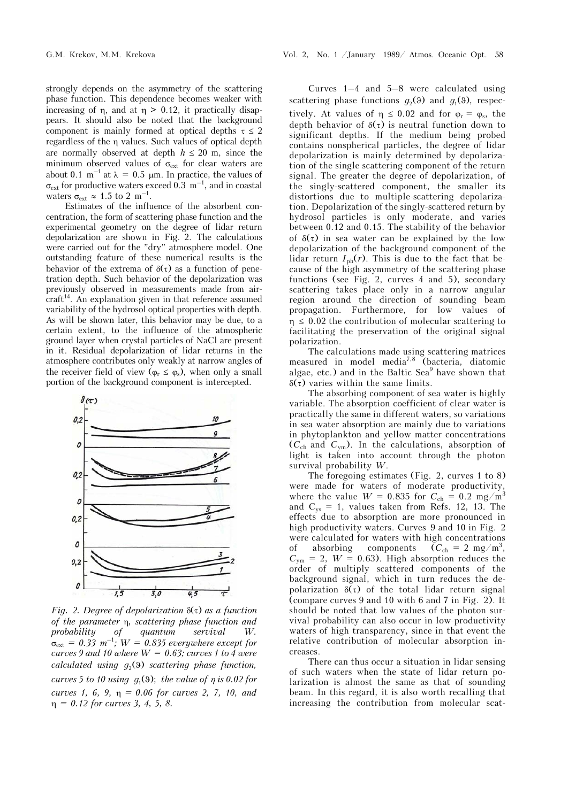strongly depends on the asymmetry of the scattering phase function. This dependence becomes weaker with increasing of  $\eta$ , and at  $\eta > 0.12$ , it practically disappears. It should also be noted that the background component is mainly formed at optical depths  $\tau \leq 2$ regardless of the *n* values. Such values of optical depth are normally observed at depth  $h \leq 20$  m, since the minimum observed values of  $\sigma_{ext}$  for clear waters are about 0.1 m<sup>-1</sup> at  $\lambda = 0.5$  µm. In practice, the values of  $\sigma_{ext}$  for productive waters exceed 0.3 m<sup>-1</sup>, and in coastal waters  $\sigma_{ext} \approx 1.5$  to 2 m<sup>-1</sup>.

Estimates of the influence of the absorbent concentration, the form of scattering phase function and the experimental geometry on the degree of lidar return depolarization are shown in Fig. 2. The calculations were carried out for the "dry" atmosphere model. One outstanding feature of these numerical results is the behavior of the extrema of  $\delta(\tau)$  as a function of penetration depth. Such behavior of the depolarization was previously observed in measurements made from air- $\text{craft}^{14}$ . An explanation given in that reference assumed variability of the hydrosol optical properties with depth. As will be shown later, this behavior may be due, to a certain extent, to the influence of the atmospheric ground layer when crystal particles of NaCl are present in it. Residual depolarization of lidar returns in the atmosphere contributes only weakly at narrow angles of the receiver field of view  $(\varphi_r \leq \varphi_s)$ , when only a small portion of the background component is intercepted.



*Fig. 2. Degree of depolarization*  $\delta(\tau)$  *as a function of the parameter , scattering phase function and probability of quantum servival W.*   $\sigma_{\text{ext}} = 0.33 \text{ m}^{-1}$ ;  $W = 0.835 \text{ everywhere except for}$ *curves 9 and 10 where*  $W = 0.63$ *; curves 1 to 4 were calculated using g<sub>2</sub>(9) scattering phase function, curves 5 to 10 using*  $g_1(9)$ *; the value of*  $\eta$  *is 0.02 for curves 1, 6, 9, = 0.06 for curves 2, 7, 10, and = 0.12 for curves 3, 4, 5, 8.*

Curves 1–4 and 5–8 were calculated using scattering phase functions  $q_2(9)$  and  $q_1(9)$ , respectively. At values of  $\eta \leq 0.02$  and for  $\varphi_r = \varphi_s$ , the depth behavior of  $\delta(\tau)$  is neutral function down to significant depths. If the medium being probed contains nonspherical particles, the degree of lidar depolarization is mainly determined by depolarization of the single scattering component of the return signal. The greater the degree of depolarization, of the singly-scattered component, the smaller its distortions due to multiple-scattering depolarization. Depolarization of the singly-scattered return by hydrosol particles is only moderate, and varies between 0.12 and 0.15. The stability of the behavior of  $\delta(\tau)$  in sea water can be explained by the low depolarization of the background component of the lidar return  $I_{ph}(r)$ . This is due to the fact that because of the high asymmetry of the scattering phase functions (see Fig. 2, curves 4 and 5), secondary scattering takes place only in a narrow angular region around the direction of sounding beam propagation. Furthermore, for low values of  $\eta \leq 0.02$  the contribution of molecular scattering to facilitating the preservation of the original signal polarization.

The calculations made using scattering matrices measured in model media7,8 (bacteria, diatomic algae, etc.) and in the Baltic Sea<sup>9</sup> have shown that  $\delta(\tau)$  varies within the same limits.

The absorbing component of sea water is highly variable. The absorption coefficient of clear water is practically the same in different waters, so variations in sea water absorption are mainly due to variations in phytoplankton and yellow matter concentrations  $(C_{ch}$  and  $C_{vm}$ ). In the calculations, absorption of light is taken into account through the photon survival probability *W*.

The foregoing estimates (Fig. 2, curves 1 to 8) were made for waters of moderate productivity, where the value  $W = 0.835$  for  $C_{ch} = 0.2$  mg/m<sup>3</sup> and  $C_{ys} = 1$ , values taken from Refs. 12, 13. The effects due to absorption are more pronounced in high productivity waters. Curves 9 and 10 in Fig. 2 were calculated for waters with high concentrations of absorbing components  $(C_{ch} = 2 \text{ mg/m}^3)$ ,  $C_{\text{vm}} = 2$ ,  $W = 0.63$ . High absorption reduces the order of multiply scattered components of the background signal, which in turn reduces the depolarization  $\delta(\tau)$  of the total lidar return signal (compare curves 9 and 10 with 6 and 7 in Fig. 2). It should be noted that low values of the photon survival probability can also occur in low-productivity waters of high transparency, since in that event the relative contribution of molecular absorption increases.

There can thus occur a situation in lidar sensing of such waters when the state of lidar return polarization is almost the same as that of sounding beam. In this regard, it is also worth recalling that increasing the contribution from molecular scat-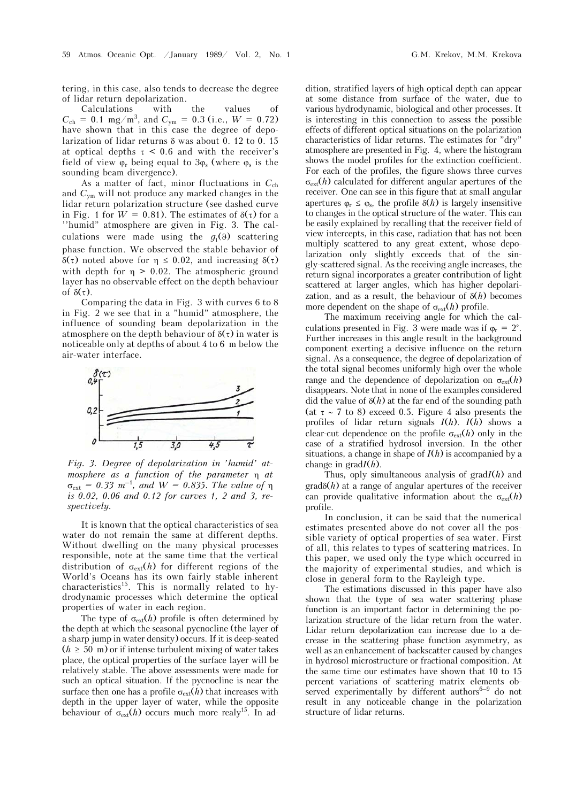tering, in this case, also tends to decrease the degree of lidar return depolarization.

Calculations with the values of  $C_{\text{ch}} = 0.1 \text{ mg/m}^3$ , and  $C_{\text{ym}} = 0.3$  (i.e.,  $W = 0.72$ ) have shown that in this case the degree of depolarization of lidar returns  $\delta$  was about 0. 12 to 0. 15 at optical depths  $\tau$  < 0.6 and with the receiver's field of view  $\varphi_r$  being equal to  $3\varphi_s$  (where  $\varphi_s$  is the sounding beam divergence).

As a matter of fact, minor fluctuations in C<sub>ch</sub> and *C*ym will not produce any marked changes in the lidar return polarization structure (see dashed curve in Fig. 1 for  $W = 0.81$ ). The estimates of  $\delta(\tau)$  for a ''humid" atmosphere are given in Fig. 3. The calculations were made using the  $q_1(9)$  scattering phase function. We observed the stable behavior of  $\delta(\tau)$  noted above for  $\eta \leq 0.02$ , and increasing  $\delta(\tau)$ with depth for  $\eta > 0.02$ . The atmospheric ground layer has no observable effect on the depth behaviour of  $\delta(\tau)$ .

Comparing the data in Fig. 3 with curves 6 to 8 in Fig. 2 we see that in a "humid" atmosphere, the influence of sounding beam depolarization in the atmosphere on the depth behaviour of  $\delta(\tau)$  in water is noticeable only at depths of about 4 to 6 m below the air-water interface.



*Fig. 3. Degree of depolarization in 'humid' atmosphere as a function of the parameter*  $\eta$  at  $\sigma_{\text{ext}} = 0.33 \text{ m}^{-1}$ , and  $W = 0.835$ . The value of  $\eta$ *is 0.02, 0.06 and 0.12 for curves 1, 2 and 3, respectively.*

It is known that the optical characteristics of sea water do not remain the same at different depths. Without dwelling on the many physical processes responsible, note at the same time that the vertical distribution of  $\sigma_{ext}(h)$  for different regions of the World's Oceans has its own fairly stable inherent characteristics<sup>15</sup>. This is normally related to hydrodynamic processes which determine the optical properties of water in each region.

The type of  $\sigma_{ext}(h)$  profile is often determined by the depth at which the seasonal pycnocline (the layer of a sharp jump in water density) occurs. If it is deep-seated  $(h \geq 50 \text{ m})$  or if intense turbulent mixing of water takes place, the optical properties of the surface layer will be relatively stable. The above assessments were made for such an optical situation. If the pycnocline is near the surface then one has a profile  $\sigma_{ext}(h)$  that increases with depth in the upper layer of water, while the opposite behaviour of  $\sigma_{ext}(h)$  occurs much more realy<sup>15</sup>. In addition, stratified layers of high optical depth can appear at some distance from surface of the water, due to various hydrodynamic, biological and other processes. It is interesting in this connection to assess the possible effects of different optical situations on the polarization characteristics of lidar returns. The estimates for "dry" atmosphere are presented in Fig. 4, where the histogram shows the model profiles for the extinction coefficient. For each of the profiles, the figure shows three curves  $\sigma_{\text{ext}}(h)$  calculated for different angular apertures of the receiver. One can see in this figure that at small angular apertures  $\varphi_r \leq \varphi_s$ , the profile  $\delta(h)$  is largely insensitive to changes in the optical structure of the water. This can be easily explained by recalling that the receiver field of view intercepts, in this case, radiation that has not been multiply scattered to any great extent, whose depolarization only slightly exceeds that of the singly-scattered signal. As the receiving angle increases, the return signal incorporates a greater contribution of light scattered at larger angles, which has higher depolarization, and as a result, the behaviour of  $\delta(h)$  becomes more dependent on the shape of  $\sigma_{ext}(h)$  profile.

The maximum receiving angle for which the calculations presented in Fig. 3 were made was if  $\varphi$  = 2°. Further increases in this angle result in the background component exerting a decisive influence on the return signal. As a consequence, the degree of depolarization of the total signal becomes uniformly high over the whole range and the dependence of depolarization on  $\sigma_{ext}(h)$ disappears. Note that in none of the examples considered did the value of  $\delta(h)$  at the far end of the sounding path (at  $\tau \sim 7$  to 8) exceed 0.5. Figure 4 also presents the profiles of lidar return signals *I*(*h*). *I*(*h*) shows a clear-cut dependence on the profile  $\sigma_{\text{ext}}(h)$  only in the case of a stratified hydrosol inversion. In the other situations, a change in shape of  $I(h)$  is accompanied by a change in grad*I*(*h*).

Thus, oply simultaneous analysis of grad*I*(*h*) and  $\text{grad}\delta(h)$  at a range of angular apertures of the receiver can provide qualitative information about the  $\sigma_{\text{ext}}(h)$ profile.

In conclusion, it can be said that the numerical estimates presented above do not cover all the possible variety of optical properties of sea water. First of all, this relates to types of scattering matrices. In this paper, we used only the type which occurred in the majority of experimental studies, and which is close in general form to the Rayleigh type.

The estimations discussed in this paper have also shown that the type of sea water scattering phase function is an important factor in determining the polarization structure of the lidar return from the water. Lidar return depolarization can increase due to a decrease in the scattering phase function asymmetry, as well as an enhancement of backscatter caused by changes in hydrosol microstructure or fractional composition. At the same time our estimates have shown that 10 to 15 percent variations of scattering matrix elements observed experimentally by different authors $6-9$  do not result in any noticeable change in the polarization structure of lidar returns.